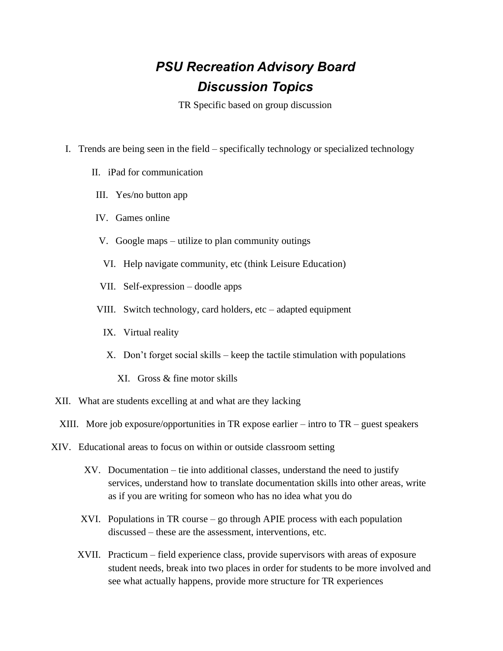## *PSU Recreation Advisory Board Discussion Topics*

TR Specific based on group discussion

- I. Trends are being seen in the field specifically technology or specialized technology
	- II. iPad for communication
	- III. Yes/no button app
	- IV. Games online
	- V. Google maps utilize to plan community outings
	- VI. Help navigate community, etc (think Leisure Education)
	- VII. Self-expression doodle apps
	- VIII. Switch technology, card holders, etc adapted equipment
		- IX. Virtual reality
		- X. Don't forget social skills keep the tactile stimulation with populations
			- XI. Gross & fine motor skills
- XII. What are students excelling at and what are they lacking
	- XIII. More job exposure/opportunities in TR expose earlier intro to  $TR$  guest speakers
- XIV. Educational areas to focus on within or outside classroom setting
	- XV. Documentation tie into additional classes, understand the need to justify services, understand how to translate documentation skills into other areas, write as if you are writing for someon who has no idea what you do
	- XVI. Populations in TR course go through APIE process with each population discussed – these are the assessment, interventions, etc.
	- XVII. Practicum field experience class, provide supervisors with areas of exposure student needs, break into two places in order for students to be more involved and see what actually happens, provide more structure for TR experiences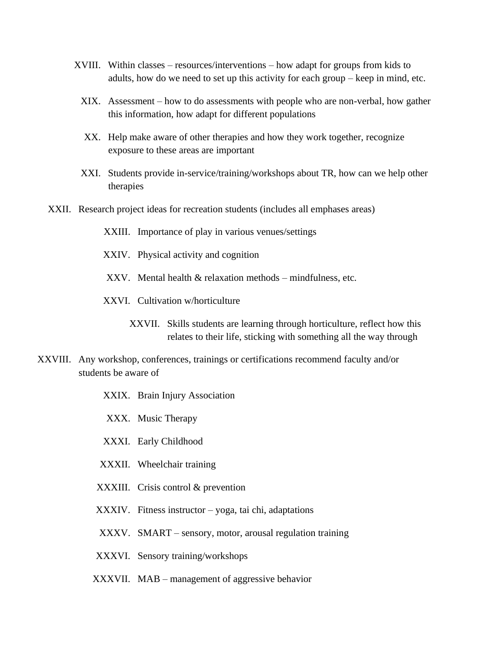- XVIII. Within classes resources/interventions how adapt for groups from kids to adults, how do we need to set up this activity for each group – keep in mind, etc.
	- XIX. Assessment how to do assessments with people who are non-verbal, how gather this information, how adapt for different populations
	- XX. Help make aware of other therapies and how they work together, recognize exposure to these areas are important
	- XXI. Students provide in-service/training/workshops about TR, how can we help other therapies
- XXII. Research project ideas for recreation students (includes all emphases areas)
	- XXIII. Importance of play in various venues/settings
	- XXIV. Physical activity and cognition
	- XXV. Mental health & relaxation methods mindfulness, etc.
	- XXVI. Cultivation w/horticulture
		- XXVII. Skills students are learning through horticulture, reflect how this relates to their life, sticking with something all the way through
- XXVIII. Any workshop, conferences, trainings or certifications recommend faculty and/or students be aware of
	- XXIX. Brain Injury Association
	- XXX. Music Therapy
	- XXXI. Early Childhood
	- XXXII. Wheelchair training
	- XXXIII. Crisis control & prevention
	- XXXIV. Fitness instructor yoga, tai chi, adaptations
	- XXXV. SMART sensory, motor, arousal regulation training
	- XXXVI. Sensory training/workshops
	- XXXVII. MAB management of aggressive behavior